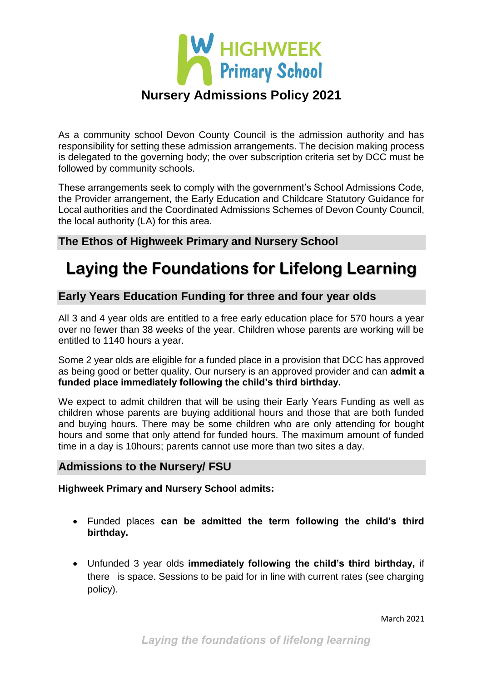

As a community school Devon County Council is the admission authority and has responsibility for setting these admission arrangements. The decision making process is delegated to the governing body; the over subscription criteria set by DCC must be followed by community schools.

These arrangements seek to comply with the government's School Admissions Code, the Provider arrangement, the Early Education and Childcare Statutory Guidance for Local authorities and the Coordinated Admissions Schemes of Devon County Council, the local authority (LA) for this area.

## **The Ethos of Highweek Primary and Nursery School**

# **Laying the Foundations for Lifelong Learning**

## **Early Years Education Funding for three and four year olds**

All 3 and 4 year olds are entitled to a free early education place for 570 hours a year over no fewer than 38 weeks of the year. Children whose parents are working will be entitled to 1140 hours a year.

Some 2 year olds are eligible for a funded place in a provision that DCC has approved as being good or better quality. Our nursery is an approved provider and can **admit a funded place immediately following the child's third birthday.** 

We expect to admit children that will be using their Early Years Funding as well as children whose parents are buying additional hours and those that are both funded and buying hours. There may be some children who are only attending for bought hours and some that only attend for funded hours. The maximum amount of funded time in a day is 10hours; parents cannot use more than two sites a day.

### **Admissions to the Nursery/ FSU**

**Highweek Primary and Nursery School admits:** 

- Funded places **can be admitted the term following the child's third birthday.**
- Unfunded 3 year olds **immediately following the child's third birthday,** if there is space. Sessions to be paid for in line with current rates (see charging policy).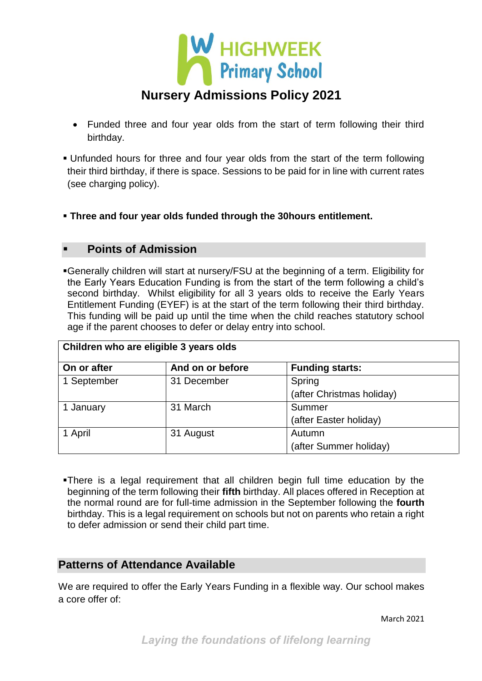

- Funded three and four year olds from the start of term following their third birthday.
- Unfunded hours for three and four year olds from the start of the term following their third birthday, if there is space. Sessions to be paid for in line with current rates (see charging policy).
- **Three and four year olds funded through the 30hours entitlement.**

### **Points of Admission**

Generally children will start at nursery/FSU at the beginning of a term. Eligibility for the Early Years Education Funding is from the start of the term following a child's second birthday. Whilst eligibility for all 3 years olds to receive the Early Years Entitlement Funding (EYEF) is at the start of the term following their third birthday. This funding will be paid up until the time when the child reaches statutory school age if the parent chooses to defer or delay entry into school.

| Children who are eligible 3 years olds |                  |                           |  |  |
|----------------------------------------|------------------|---------------------------|--|--|
| On or after                            | And on or before | <b>Funding starts:</b>    |  |  |
| 1 September                            | 31 December      | Spring                    |  |  |
|                                        |                  | (after Christmas holiday) |  |  |
| 1 January                              | 31 March         | Summer                    |  |  |
|                                        |                  | (after Easter holiday)    |  |  |
| 1 April                                | 31 August        | Autumn                    |  |  |
|                                        |                  | (after Summer holiday)    |  |  |

There is a legal requirement that all children begin full time education by the beginning of the term following their **fifth** birthday. All places offered in Reception at the normal round are for full-time admission in the September following the **fourth** birthday. This is a legal requirement on schools but not on parents who retain a right to defer admission or send their child part time.

### **Patterns of Attendance Available**

We are required to offer the Early Years Funding in a flexible way. Our school makes a core offer of: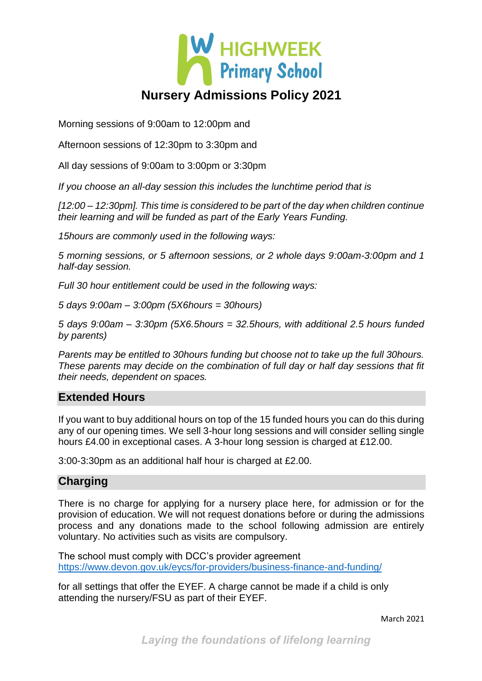

Morning sessions of 9:00am to 12:00pm and

Afternoon sessions of 12:30pm to 3:30pm and

All day sessions of 9:00am to 3:00pm or 3:30pm

*If you choose an all-day session this includes the lunchtime period that is* 

*[12:00 – 12:30pm]. This time is considered to be part of the day when children continue their learning and will be funded as part of the Early Years Funding.*

*15hours are commonly used in the following ways:*

*5 morning sessions, or 5 afternoon sessions, or 2 whole days 9:00am-3:00pm and 1 half-day session.* 

*Full 30 hour entitlement could be used in the following ways:*

*5 days 9:00am – 3:00pm (5X6hours = 30hours)* 

*5 days 9:00am – 3:30pm (5X6.5hours = 32.5hours, with additional 2.5 hours funded by parents)* 

*Parents may be entitled to 30hours funding but choose not to take up the full 30hours. These parents may decide on the combination of full day or half day sessions that fit their needs, dependent on spaces.* 

#### **Extended Hours**

If you want to buy additional hours on top of the 15 funded hours you can do this during any of our opening times. We sell 3-hour long sessions and will consider selling single hours £4.00 in exceptional cases. A 3-hour long session is charged at £12.00.

3:00-3:30pm as an additional half hour is charged at £2.00.

### **Charging**

There is no charge for applying for a nursery place here, for admission or for the provision of education. We will not request donations before or during the admissions process and any donations made to the school following admission are entirely voluntary. No activities such as visits are compulsory.

The school must comply with DCC's provider agreement <https://www.devon.gov.uk/eycs/for-providers/business-finance-and-funding/>

for all settings that offer the EYEF. A charge cannot be made if a child is only attending the nursery/FSU as part of their EYEF.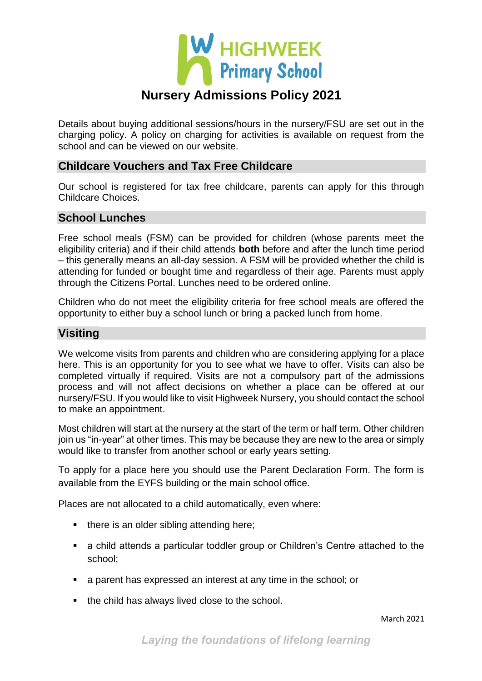

Details about buying additional sessions/hours in the nursery/FSU are set out in the charging policy. A policy on charging for activities is available on request from the school and can be viewed on our website.

### **Childcare Vouchers and Tax Free Childcare**

Our school is registered for tax free childcare, parents can apply for this through Childcare Choices.

### **School Lunches**

Free school meals (FSM) can be provided for children (whose parents meet the eligibility criteria) and if their child attends **both** before and after the lunch time period – this generally means an all-day session. A FSM will be provided whether the child is attending for funded or bought time and regardless of their age. Parents must apply through the Citizens Portal. Lunches need to be ordered online.

Children who do not meet the eligibility criteria for free school meals are offered the opportunity to either buy a school lunch or bring a packed lunch from home.

## **Visiting**

We welcome visits from parents and children who are considering applying for a place here. This is an opportunity for you to see what we have to offer. Visits can also be completed virtually if required. Visits are not a compulsory part of the admissions process and will not affect decisions on whether a place can be offered at our nursery/FSU. If you would like to visit Highweek Nursery, you should contact the school to make an appointment.

Most children will start at the nursery at the start of the term or half term. Other children join us "in-year" at other times. This may be because they are new to the area or simply would like to transfer from another school or early years setting.

To apply for a place here you should use the Parent Declaration Form. The form is available from the EYFS building or the main school office.

Places are not allocated to a child automatically, even where:

- $\blacksquare$  there is an older sibling attending here;
- a child attends a particular toddler group or Children's Centre attached to the school;
- a parent has expressed an interest at any time in the school; or
- the child has always lived close to the school.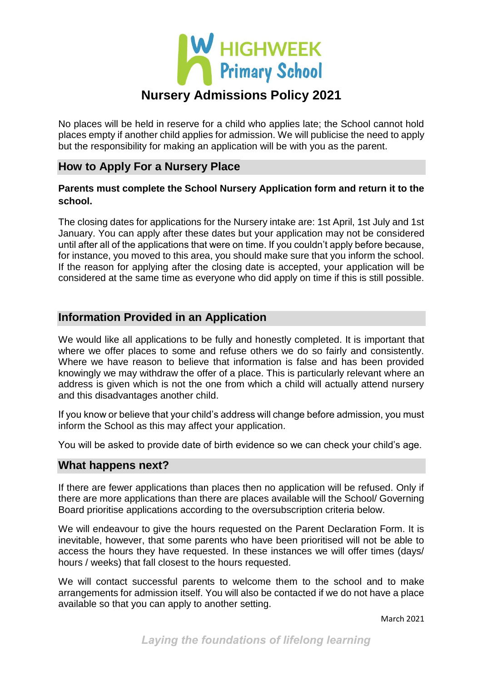

No places will be held in reserve for a child who applies late; the School cannot hold places empty if another child applies for admission. We will publicise the need to apply but the responsibility for making an application will be with you as the parent.

## **How to Apply For a Nursery Place**

#### **Parents must complete the School Nursery Application form and return it to the school.**

The closing dates for applications for the Nursery intake are: 1st April, 1st July and 1st January. You can apply after these dates but your application may not be considered until after all of the applications that were on time. If you couldn't apply before because, for instance, you moved to this area, you should make sure that you inform the school. If the reason for applying after the closing date is accepted, your application will be considered at the same time as everyone who did apply on time if this is still possible.

### **Information Provided in an Application**

We would like all applications to be fully and honestly completed. It is important that where we offer places to some and refuse others we do so fairly and consistently. Where we have reason to believe that information is false and has been provided knowingly we may withdraw the offer of a place. This is particularly relevant where an address is given which is not the one from which a child will actually attend nursery and this disadvantages another child.

If you know or believe that your child's address will change before admission, you must inform the School as this may affect your application.

You will be asked to provide date of birth evidence so we can check your child's age.

#### **What happens next?**

If there are fewer applications than places then no application will be refused. Only if there are more applications than there are places available will the School/ Governing Board prioritise applications according to the oversubscription criteria below.

We will endeavour to give the hours requested on the Parent Declaration Form. It is inevitable, however, that some parents who have been prioritised will not be able to access the hours they have requested. In these instances we will offer times (days/ hours / weeks) that fall closest to the hours requested.

We will contact successful parents to welcome them to the school and to make arrangements for admission itself. You will also be contacted if we do not have a place available so that you can apply to another setting.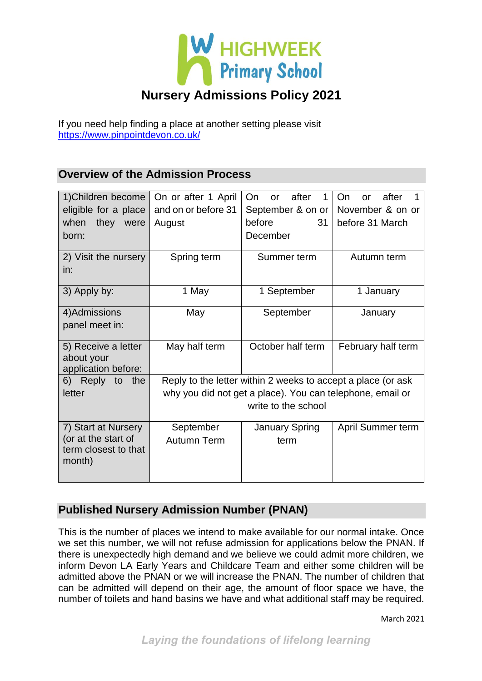

If you need help finding a place at another setting please visit <https://www.pinpointdevon.co.uk/>

## **Overview of the Admission Process**

| 1) Children become                                    | On or after 1 April                                          | On<br>after<br>1<br><b>or</b> | On<br>after<br>or  |
|-------------------------------------------------------|--------------------------------------------------------------|-------------------------------|--------------------|
| eligible for a place                                  | and on or before 31                                          | September & on or             | November & on or   |
| when<br>they<br>were                                  | August                                                       | before<br>31                  | before 31 March    |
| born:                                                 |                                                              | December                      |                    |
| 2) Visit the nursery                                  | Spring term                                                  | Summer term                   | Autumn term        |
| in:                                                   |                                                              |                               |                    |
| 3) Apply by:                                          | 1 May                                                        | 1 September                   | 1 January          |
| 4) Admissions                                         | May                                                          | September                     | January            |
| panel meet in:                                        |                                                              |                               |                    |
| 5) Receive a letter                                   | May half term                                                | October half term             | February half term |
| about your                                            |                                                              |                               |                    |
| application before:                                   |                                                              |                               |                    |
| the<br>6) Reply<br>to                                 | Reply to the letter within 2 weeks to accept a place (or ask |                               |                    |
| letter                                                | why you did not get a place). You can telephone, email or    |                               |                    |
|                                                       | write to the school                                          |                               |                    |
| 7) Start at Nursery                                   | September                                                    | <b>January Spring</b>         | April Summer term  |
| (or at the start of<br>term closest to that<br>month) | <b>Autumn Term</b>                                           | term                          |                    |
|                                                       |                                                              |                               |                    |

## **Published Nursery Admission Number (PNAN)**

This is the number of places we intend to make available for our normal intake. Once we set this number, we will not refuse admission for applications below the PNAN. If there is unexpectedly high demand and we believe we could admit more children, we inform Devon LA Early Years and Childcare Team and either some children will be admitted above the PNAN or we will increase the PNAN. The number of children that can be admitted will depend on their age, the amount of floor space we have, the number of toilets and hand basins we have and what additional staff may be required.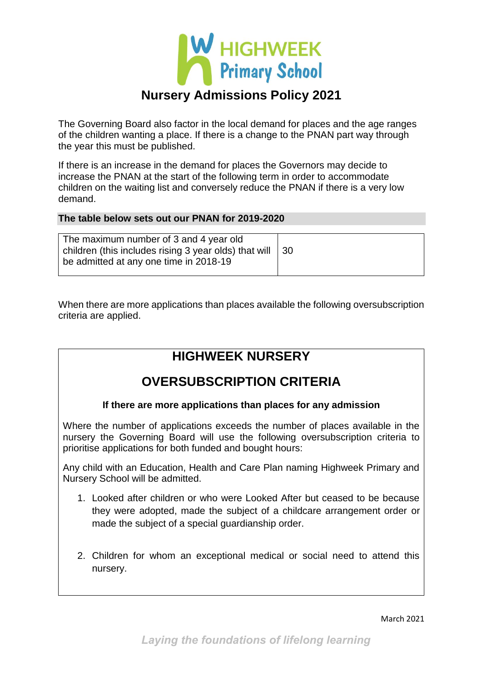

The Governing Board also factor in the local demand for places and the age ranges of the children wanting a place. If there is a change to the PNAN part way through the year this must be published.

If there is an increase in the demand for places the Governors may decide to increase the PNAN at the start of the following term in order to accommodate children on the waiting list and conversely reduce the PNAN if there is a very low demand.

#### **The table below sets out our PNAN for 2019-2020**

When there are more applications than places available the following oversubscription criteria are applied.

## **HIGHWEEK NURSERY**

## **OVERSUBSCRIPTION CRITERIA**

#### **If there are more applications than places for any admission**

Where the number of applications exceeds the number of places available in the nursery the Governing Board will use the following oversubscription criteria to prioritise applications for both funded and bought hours:

Any child with an Education, Health and Care Plan naming Highweek Primary and Nursery School will be admitted.

- 1. Looked after children or who were Looked After but ceased to be because they were adopted, made the subject of a childcare arrangement order or made the subject of a special guardianship order.
- 2. Children for whom an exceptional medical or social need to attend this nursery.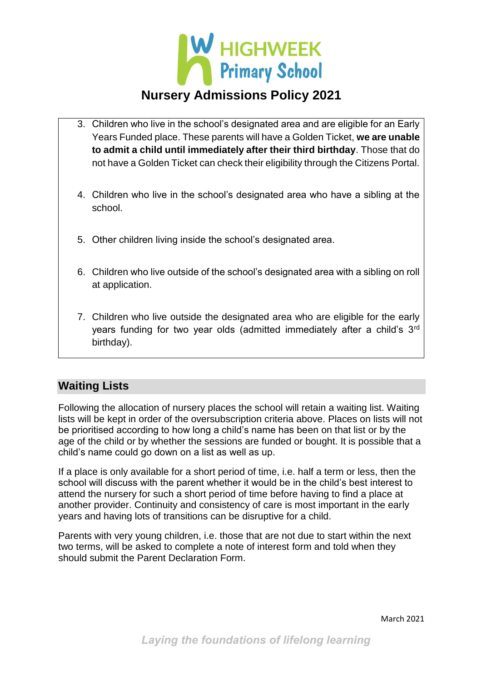

- 3. Children who live in the school's designated area and are eligible for an Early Years Funded place. These parents will have a Golden Ticket, **we are unable to admit a child until immediately after their third birthday**. Those that do not have a Golden Ticket can check their eligibility through the Citizens Portal.
- 4. Children who live in the school's designated area who have a sibling at the school.
- 5. Other children living inside the school's designated area.
- 6. Children who live outside of the school's designated area with a sibling on roll at application.
- 7. Children who live outside the designated area who are eligible for the early years funding for two year olds (admitted immediately after a child's 3rd birthday).

### **Waiting Lists**

Following the allocation of nursery places the school will retain a waiting list. Waiting lists will be kept in order of the oversubscription criteria above. Places on lists will not be prioritised according to how long a child's name has been on that list or by the age of the child or by whether the sessions are funded or bought. It is possible that a child's name could go down on a list as well as up.

If a place is only available for a short period of time, i.e. half a term or less, then the school will discuss with the parent whether it would be in the child's best interest to attend the nursery for such a short period of time before having to find a place at another provider. Continuity and consistency of care is most important in the early years and having lots of transitions can be disruptive for a child.

Parents with very young children, i.e. those that are not due to start within the next two terms, will be asked to complete a note of interest form and told when they should submit the Parent Declaration Form.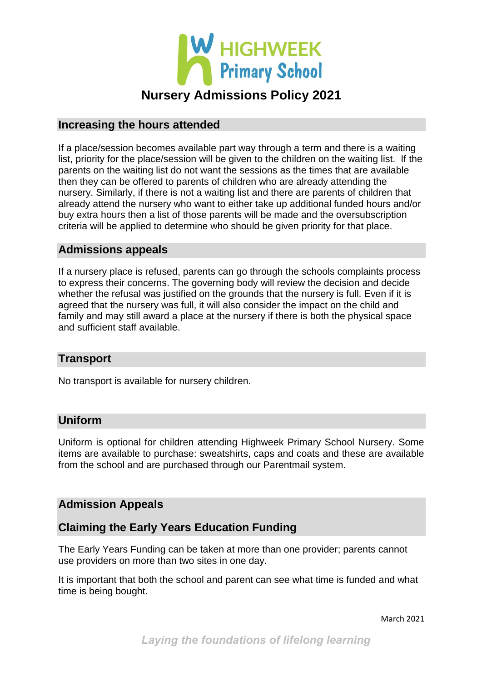

## **Increasing the hours attended**

If a place/session becomes available part way through a term and there is a waiting list, priority for the place/session will be given to the children on the waiting list. If the parents on the waiting list do not want the sessions as the times that are available then they can be offered to parents of children who are already attending the nursery. Similarly, if there is not a waiting list and there are parents of children that already attend the nursery who want to either take up additional funded hours and/or buy extra hours then a list of those parents will be made and the oversubscription criteria will be applied to determine who should be given priority for that place.

### **Admissions appeals**

If a nursery place is refused, parents can go through the schools complaints process to express their concerns. The governing body will review the decision and decide whether the refusal was justified on the grounds that the nursery is full. Even if it is agreed that the nursery was full, it will also consider the impact on the child and family and may still award a place at the nursery if there is both the physical space and sufficient staff available.

### **Transport**

No transport is available for nursery children.

#### **Uniform**

Uniform is optional for children attending Highweek Primary School Nursery. Some items are available to purchase: sweatshirts, caps and coats and these are available from the school and are purchased through our Parentmail system.

### **Admission Appeals**

### **Claiming the Early Years Education Funding**

The Early Years Funding can be taken at more than one provider; parents cannot use providers on more than two sites in one day.

It is important that both the school and parent can see what time is funded and what time is being bought.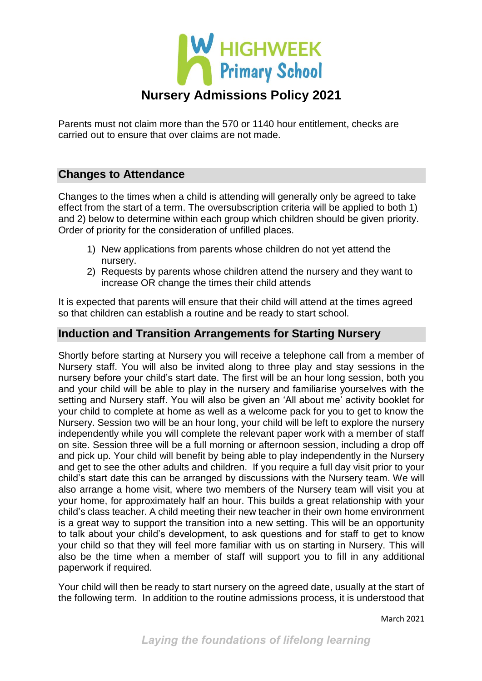

Parents must not claim more than the 570 or 1140 hour entitlement, checks are carried out to ensure that over claims are not made.

## **Changes to Attendance**

Changes to the times when a child is attending will generally only be agreed to take effect from the start of a term. The oversubscription criteria will be applied to both 1) and 2) below to determine within each group which children should be given priority. Order of priority for the consideration of unfilled places.

- 1) New applications from parents whose children do not yet attend the nursery.
- 2) Requests by parents whose children attend the nursery and they want to increase OR change the times their child attends

It is expected that parents will ensure that their child will attend at the times agreed so that children can establish a routine and be ready to start school.

#### **Induction and Transition Arrangements for Starting Nursery**

Shortly before starting at Nursery you will receive a telephone call from a member of Nursery staff. You will also be invited along to three play and stay sessions in the nursery before your child's start date. The first will be an hour long session, both you and your child will be able to play in the nursery and familiarise yourselves with the setting and Nursery staff. You will also be given an 'All about me' activity booklet for your child to complete at home as well as a welcome pack for you to get to know the Nursery. Session two will be an hour long, your child will be left to explore the nursery independently while you will complete the relevant paper work with a member of staff on site. Session three will be a full morning or afternoon session, including a drop off and pick up. Your child will benefit by being able to play independently in the Nursery and get to see the other adults and children. If you require a full day visit prior to your child's start date this can be arranged by discussions with the Nursery team. We will also arrange a home visit, where two members of the Nursery team will visit you at your home, for approximately half an hour. This builds a great relationship with your child's class teacher. A child meeting their new teacher in their own home environment is a great way to support the transition into a new setting. This will be an opportunity to talk about your child's development, to ask questions and for staff to get to know your child so that they will feel more familiar with us on starting in Nursery. This will also be the time when a member of staff will support you to fill in any additional paperwork if required.

Your child will then be ready to start nursery on the agreed date, usually at the start of the following term. In addition to the routine admissions process, it is understood that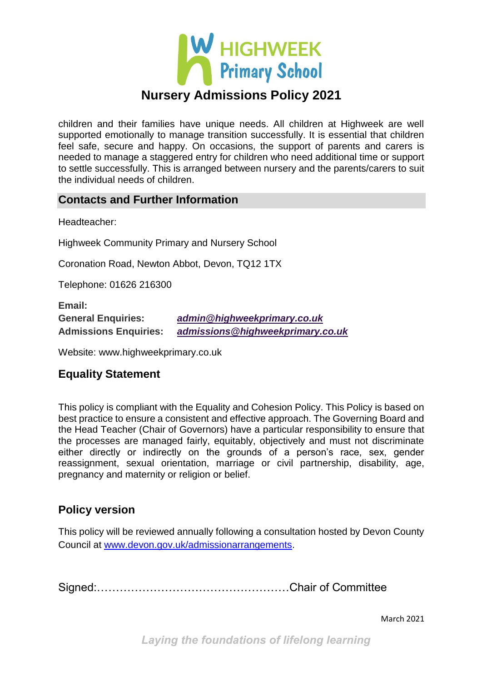

children and their families have unique needs. All children at Highweek are well supported emotionally to manage transition successfully. It is essential that children feel safe, secure and happy. On occasions, the support of parents and carers is needed to manage a staggered entry for children who need additional time or support to settle successfully. This is arranged between nursery and the parents/carers to suit the individual needs of children.

#### **Contacts and Further Information**

Headteacher:

Highweek Community Primary and Nursery School

Coronation Road, Newton Abbot, Devon, TQ12 1TX

Telephone: 01626 216300

**Email: General Enquiries:** *[admin@highweekprimary.co.uk](mailto:admin@highweekprimary.co.uk)* **Admissions Enquiries:** *[admissions@highweekprimary.co.uk](mailto:admin@highweekprimary.co.uk?subject=Highweek%20Admissions)*

Website: www.highweekprimary.co.uk

## **Equality Statement**

This policy is compliant with the Equality and Cohesion Policy. This Policy is based on best practice to ensure a consistent and effective approach. The Governing Board and the Head Teacher (Chair of Governors) have a particular responsibility to ensure that the processes are managed fairly, equitably, objectively and must not discriminate either directly or indirectly on the grounds of a person's race, sex, gender reassignment, sexual orientation, marriage or civil partnership, disability, age, pregnancy and maternity or religion or belief.

## **Policy version**

This policy will be reviewed annually following a consultation hosted by Devon County Council at [www.devon.gov.uk/admissionarrangements.](http://www.devon.gov.uk/admissionarrangements)

Signed:……………………………………………Chair of Committee

March 2021

*Laying the foundations of lifelong learning*